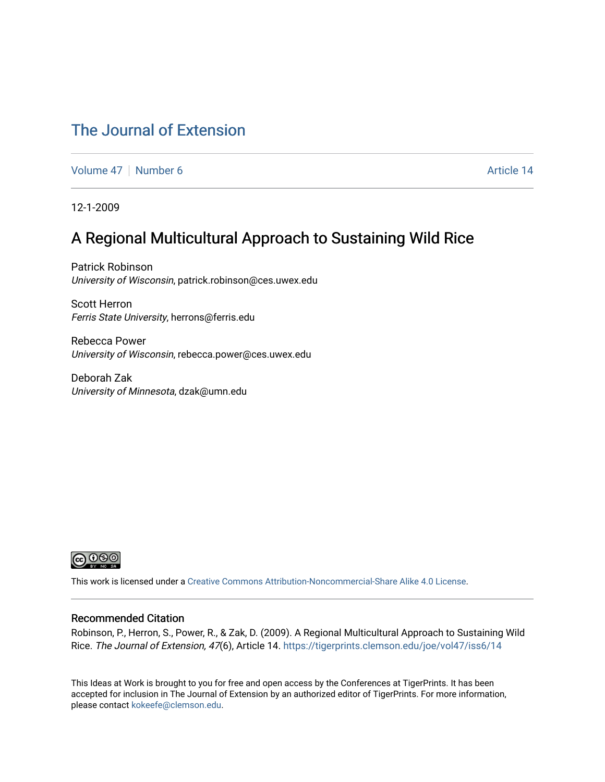### [The Journal of Extension](https://tigerprints.clemson.edu/joe)

[Volume 47](https://tigerprints.clemson.edu/joe/vol47) [Number 6](https://tigerprints.clemson.edu/joe/vol47/iss6) Article 14

12-1-2009

### A Regional Multicultural Approach to Sustaining Wild Rice

Patrick Robinson University of Wisconsin, patrick.robinson@ces.uwex.edu

Scott Herron Ferris State University, herrons@ferris.edu

Rebecca Power University of Wisconsin, rebecca.power@ces.uwex.edu

Deborah Zak University of Minnesota, dzak@umn.edu



This work is licensed under a [Creative Commons Attribution-Noncommercial-Share Alike 4.0 License.](https://creativecommons.org/licenses/by-nc-sa/4.0/)

#### Recommended Citation

Robinson, P., Herron, S., Power, R., & Zak, D. (2009). A Regional Multicultural Approach to Sustaining Wild Rice. The Journal of Extension, 47(6), Article 14. https://tigerprints.clemson.edu/joe/vol47/iss6/14

This Ideas at Work is brought to you for free and open access by the Conferences at TigerPrints. It has been accepted for inclusion in The Journal of Extension by an authorized editor of TigerPrints. For more information, please contact [kokeefe@clemson.edu](mailto:kokeefe@clemson.edu).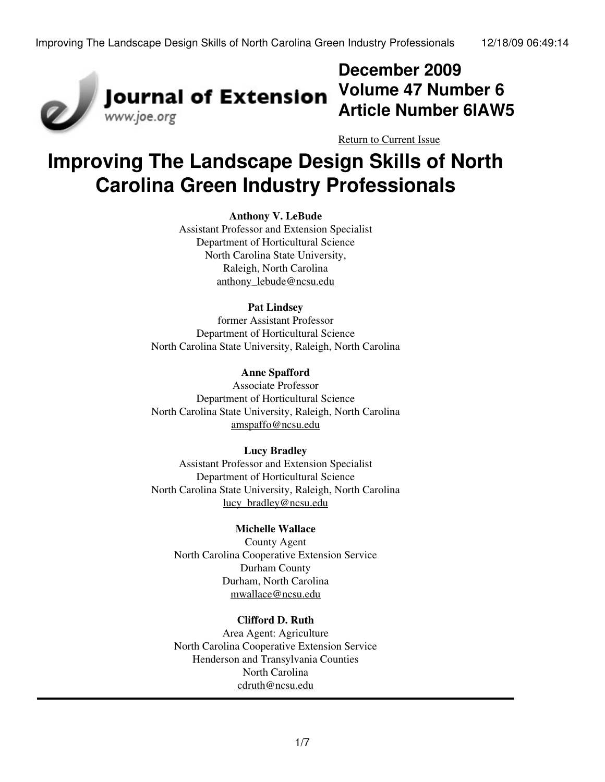

## **December 2009 Volume 47 Number 6 Article Number 6IAW5**

[Return to Current Issue](http://www.joe.org:80/joe/2009december/)

# **Improving The Landscape Design Skills of North Carolina Green Industry Professionals**

#### **Anthony V. LeBude**

Assistant Professor and Extension Specialist Department of Horticultural Science North Carolina State University, Raleigh, North Carolina [anthony\\_lebude@ncsu.edu](mailto:anthony_lebude@ncsu.edu)

#### **Pat Lindsey**

former Assistant Professor Department of Horticultural Science North Carolina State University, Raleigh, North Carolina

#### **Anne Spafford**

Associate Professor Department of Horticultural Science North Carolina State University, Raleigh, North Carolina [amspaffo@ncsu.edu](mailto:amspaffo@ncsu.edu)

#### **Lucy Bradley**

Assistant Professor and Extension Specialist Department of Horticultural Science North Carolina State University, Raleigh, North Carolina [lucy\\_bradley@ncsu.edu](mailto:lucy_bradley@ncsu.edu)

#### **Michelle Wallace**

County Agent North Carolina Cooperative Extension Service Durham County Durham, North Carolina [mwallace@ncsu.edu](mailto:mwallace@ncsu.edu)

#### **Clifford D. Ruth**

Area Agent: Agriculture North Carolina Cooperative Extension Service Henderson and Transylvania Counties North Carolina [cdruth@ncsu.edu](mailto:cdruth@ncsu.edu)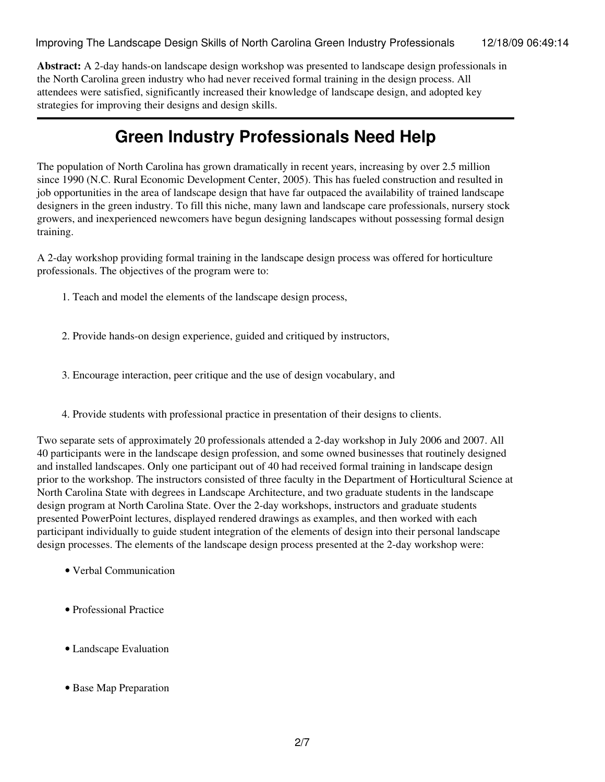Improving The Landscape Design Skills of North Carolina Green Industry Professionals 12/18/09 06:49:14

**Abstract:** A 2-day hands-on landscape design workshop was presented to landscape design professionals in the North Carolina green industry who had never received formal training in the design process. All attendees were satisfied, significantly increased their knowledge of landscape design, and adopted key strategies for improving their designs and design skills.

## **Green Industry Professionals Need Help**

The population of North Carolina has grown dramatically in recent years, increasing by over 2.5 million since 1990 (N.C. Rural Economic Development Center, 2005). This has fueled construction and resulted in job opportunities in the area of landscape design that have far outpaced the availability of trained landscape designers in the green industry. To fill this niche, many lawn and landscape care professionals, nursery stock growers, and inexperienced newcomers have begun designing landscapes without possessing formal design training.

A 2-day workshop providing formal training in the landscape design process was offered for horticulture professionals. The objectives of the program were to:

- 1. Teach and model the elements of the landscape design process,
- 2. Provide hands-on design experience, guided and critiqued by instructors,
- 3. Encourage interaction, peer critique and the use of design vocabulary, and
- 4. Provide students with professional practice in presentation of their designs to clients.

Two separate sets of approximately 20 professionals attended a 2-day workshop in July 2006 and 2007. All 40 participants were in the landscape design profession, and some owned businesses that routinely designed and installed landscapes. Only one participant out of 40 had received formal training in landscape design prior to the workshop. The instructors consisted of three faculty in the Department of Horticultural Science at North Carolina State with degrees in Landscape Architecture, and two graduate students in the landscape design program at North Carolina State. Over the 2-day workshops, instructors and graduate students presented PowerPoint lectures, displayed rendered drawings as examples, and then worked with each participant individually to guide student integration of the elements of design into their personal landscape design processes. The elements of the landscape design process presented at the 2-day workshop were:

- Verbal Communication
- Professional Practice
- Landscape Evaluation
- Base Map Preparation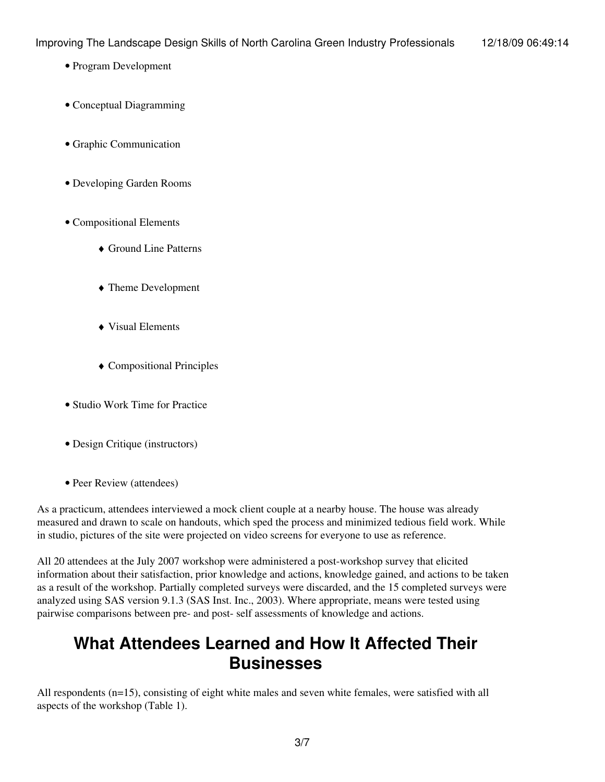- Program Development
- Conceptual Diagramming
- Graphic Communication
- Developing Garden Rooms
- Compositional Elements
	- ♦ Ground Line Patterns
	- ♦ Theme Development
	- ♦ Visual Elements
	- ♦ Compositional Principles
- Studio Work Time for Practice
- Design Critique (instructors)
- Peer Review (attendees)

As a practicum, attendees interviewed a mock client couple at a nearby house. The house was already measured and drawn to scale on handouts, which sped the process and minimized tedious field work. While in studio, pictures of the site were projected on video screens for everyone to use as reference.

All 20 attendees at the July 2007 workshop were administered a post-workshop survey that elicited information about their satisfaction, prior knowledge and actions, knowledge gained, and actions to be taken as a result of the workshop. Partially completed surveys were discarded, and the 15 completed surveys were analyzed using SAS version 9.1.3 (SAS Inst. Inc., 2003). Where appropriate, means were tested using pairwise comparisons between pre- and post- self assessments of knowledge and actions.

## **What Attendees Learned and How It Affected Their Businesses**

All respondents (n=15), consisting of eight white males and seven white females, were satisfied with all aspects of the workshop (Table 1).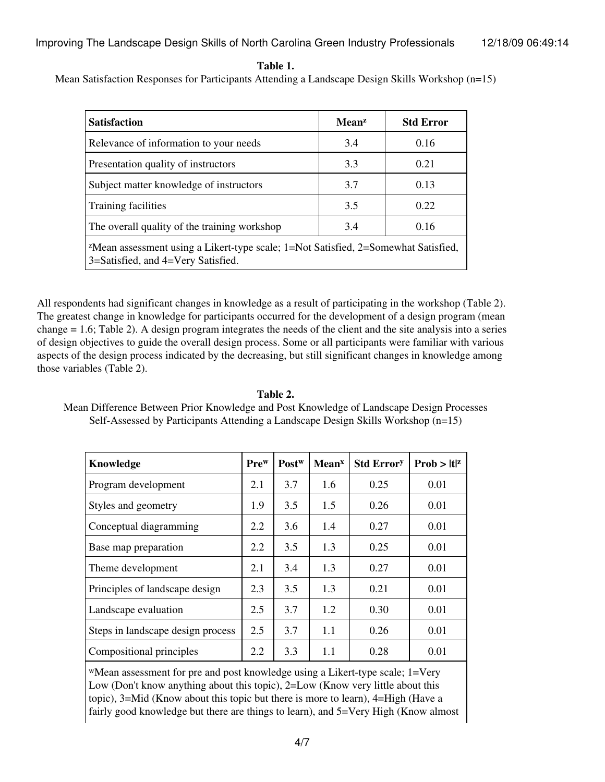**Table 1.**

Mean Satisfaction Responses for Participants Attending a Landscape Design Skills Workshop (n=15)

| <b>Satisfaction</b>                                                                                                                  | <b>Mean</b> <sup>2</sup> | <b>Std Error</b> |  |  |  |  |
|--------------------------------------------------------------------------------------------------------------------------------------|--------------------------|------------------|--|--|--|--|
| Relevance of information to your needs                                                                                               | 3.4                      | 0.16             |  |  |  |  |
| Presentation quality of instructors                                                                                                  | 3.3                      | 0.21             |  |  |  |  |
| Subject matter knowledge of instructors                                                                                              | 3.7                      | 0.13             |  |  |  |  |
| Training facilities                                                                                                                  | 3.5                      | 0.22             |  |  |  |  |
| The overall quality of the training workshop                                                                                         | 3.4                      | 0.16             |  |  |  |  |
| <sup>z</sup> Mean assessment using a Likert-type scale; 1=Not Satisfied, 2=Somewhat Satisfied,<br>3=Satisfied, and 4=Very Satisfied. |                          |                  |  |  |  |  |

All respondents had significant changes in knowledge as a result of participating in the workshop (Table 2). The greatest change in knowledge for participants occurred for the development of a design program (mean change = 1.6; Table 2). A design program integrates the needs of the client and the site analysis into a series of design objectives to guide the overall design process. Some or all participants were familiar with various aspects of the design process indicated by the decreasing, but still significant changes in knowledge among those variables (Table 2).

### Mean Difference Between Prior Knowledge and Post Knowledge of Landscape Design Processes Self-Assessed by Participants Attending a Landscape Design Skills Workshop (n=15)

| Knowledge                         | Pre <sup>w</sup> | Post <sup>w</sup> | <b>Mean</b> <sup>x</sup> | <b>Std Errory</b> | $Prob >  t ^z$ |
|-----------------------------------|------------------|-------------------|--------------------------|-------------------|----------------|
| Program development               | 2.1              | 3.7               | 1.6                      | 0.25              | 0.01           |
| Styles and geometry               | 1.9              | 3.5               | 1.5                      | 0.26              | 0.01           |
| Conceptual diagramming            | 2.2              | 3.6               | 1.4                      | 0.27              | 0.01           |
| Base map preparation              | 2.2              | 3.5               | 1.3                      | 0.25              | 0.01           |
| Theme development                 | 2.1              | 3.4               | 1.3                      | 0.27              | 0.01           |
| Principles of landscape design    | 2.3              | 3.5               | 1.3                      | 0.21              | 0.01           |
| Landscape evaluation              | 2.5              | 3.7               | 1.2                      | 0.30              | 0.01           |
| Steps in landscape design process | 2.5              | 3.7               | 1.1                      | 0.26              | 0.01           |
| Compositional principles          | 2.2              | 3.3               | 1.1                      | 0.28              | 0.01           |

<sup>w</sup>Mean assessment for pre and post knowledge using a Likert-type scale; 1=Very Low (Don't know anything about this topic), 2=Low (Know very little about this topic), 3=Mid (Know about this topic but there is more to learn), 4=High (Have a fairly good knowledge but there are things to learn), and 5=Very High (Know almost

#### **Table 2.**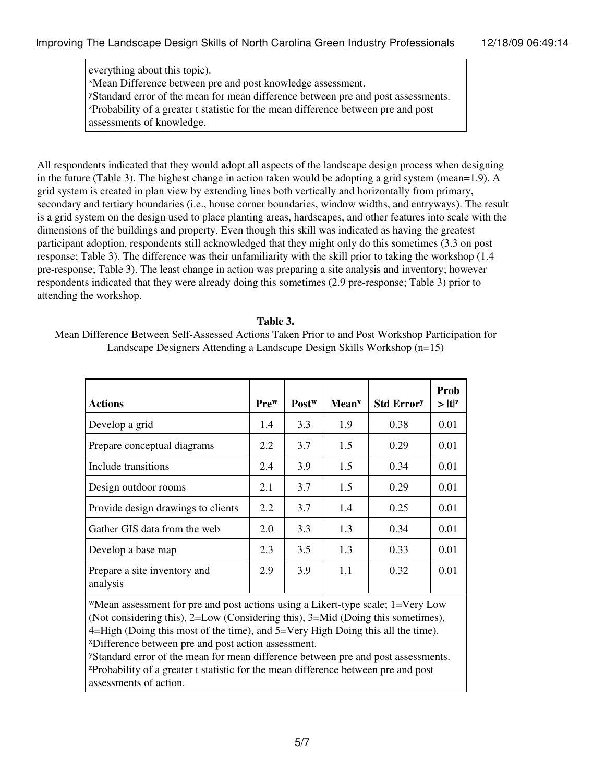everything about this topic). <sup>x</sup>Mean Difference between pre and post knowledge assessment. <sup>y</sup>Standard error of the mean for mean difference between pre and post assessments. <sup>z</sup>Probability of a greater t statistic for the mean difference between pre and post assessments of knowledge.

All respondents indicated that they would adopt all aspects of the landscape design process when designing in the future (Table 3). The highest change in action taken would be adopting a grid system (mean=1.9). A grid system is created in plan view by extending lines both vertically and horizontally from primary, secondary and tertiary boundaries (i.e., house corner boundaries, window widths, and entryways). The result is a grid system on the design used to place planting areas, hardscapes, and other features into scale with the dimensions of the buildings and property. Even though this skill was indicated as having the greatest participant adoption, respondents still acknowledged that they might only do this sometimes (3.3 on post response; Table 3). The difference was their unfamiliarity with the skill prior to taking the workshop (1.4 pre-response; Table 3). The least change in action was preparing a site analysis and inventory; however respondents indicated that they were already doing this sometimes (2.9 pre-response; Table 3) prior to attending the workshop.

#### **Table 3.**

Mean Difference Between Self-Assessed Actions Taken Prior to and Post Workshop Participation for Landscape Designers Attending a Landscape Design Skills Workshop (n=15)

| <b>Actions</b>                           | Pre <sup>w</sup> | Post <sup>w</sup> | Mean <sup>x</sup> | <b>Std Errory</b> | Prob<br>$>  t ^z$ |
|------------------------------------------|------------------|-------------------|-------------------|-------------------|-------------------|
| Develop a grid                           | 1.4              | 3.3               | 1.9               | 0.38              | 0.01              |
| Prepare conceptual diagrams              | 2.2              | 3.7               | 1.5               | 0.29              | 0.01              |
| Include transitions                      | 2.4              | 3.9               | 1.5               | 0.34              | 0.01              |
| Design outdoor rooms                     | 2.1              | 3.7               | 1.5               | 0.29              | 0.01              |
| Provide design drawings to clients       | 2.2              | 3.7               | 1.4               | 0.25              | 0.01              |
| Gather GIS data from the web             | 2.0              | 3.3               | 1.3               | 0.34              | 0.01              |
| Develop a base map                       | 2.3              | 3.5               | 1.3               | 0.33              | 0.01              |
| Prepare a site inventory and<br>analysis | 2.9              | 3.9               | 1.1               | 0.32              | 0.01              |

<sup>w</sup>Mean assessment for pre and post actions using a Likert-type scale; 1=Very Low (Not considering this), 2=Low (Considering this), 3=Mid (Doing this sometimes), 4=High (Doing this most of the time), and 5=Very High Doing this all the time). <sup>x</sup>Difference between pre and post action assessment.

<sup>y</sup>Standard error of the mean for mean difference between pre and post assessments. <sup>z</sup>Probability of a greater t statistic for the mean difference between pre and post assessments of action.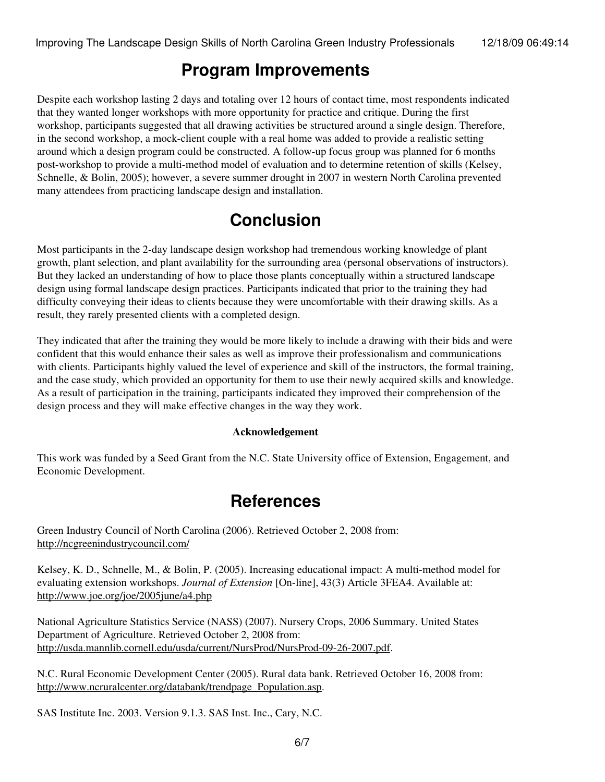### **Program Improvements**

Despite each workshop lasting 2 days and totaling over 12 hours of contact time, most respondents indicated that they wanted longer workshops with more opportunity for practice and critique. During the first workshop, participants suggested that all drawing activities be structured around a single design. Therefore, in the second workshop, a mock-client couple with a real home was added to provide a realistic setting around which a design program could be constructed. A follow-up focus group was planned for 6 months post-workshop to provide a multi-method model of evaluation and to determine retention of skills (Kelsey, Schnelle, & Bolin, 2005); however, a severe summer drought in 2007 in western North Carolina prevented many attendees from practicing landscape design and installation.

## **Conclusion**

Most participants in the 2-day landscape design workshop had tremendous working knowledge of plant growth, plant selection, and plant availability for the surrounding area (personal observations of instructors). But they lacked an understanding of how to place those plants conceptually within a structured landscape design using formal landscape design practices. Participants indicated that prior to the training they had difficulty conveying their ideas to clients because they were uncomfortable with their drawing skills. As a result, they rarely presented clients with a completed design.

They indicated that after the training they would be more likely to include a drawing with their bids and were confident that this would enhance their sales as well as improve their professionalism and communications with clients. Participants highly valued the level of experience and skill of the instructors, the formal training, and the case study, which provided an opportunity for them to use their newly acquired skills and knowledge. As a result of participation in the training, participants indicated they improved their comprehension of the design process and they will make effective changes in the way they work.

#### **Acknowledgement**

This work was funded by a Seed Grant from the N.C. State University office of Extension, Engagement, and Economic Development.

### **References**

Green Industry Council of North Carolina (2006). Retrieved October 2, 2008 from: <http://ncgreenindustrycouncil.com/>

Kelsey, K. D., Schnelle, M., & Bolin, P. (2005). Increasing educational impact: A multi-method model for evaluating extension workshops. *Journal of Extension* [On-line], 43(3) Article 3FEA4. Available at: <http://www.joe.org/joe/2005june/a4.php>

National Agriculture Statistics Service (NASS) (2007). Nursery Crops, 2006 Summary. United States Department of Agriculture. Retrieved October 2, 2008 from: <http://usda.mannlib.cornell.edu/usda/current/NursProd/NursProd-09-26-2007.pdf>.

N.C. Rural Economic Development Center (2005). Rural data bank. Retrieved October 16, 2008 from: [http://www.ncruralcenter.org/databank/trendpage\\_Population.asp.](http://www.ncruralcenter.org/databank/trendpage_Population.asp)

SAS Institute Inc. 2003. Version 9.1.3. SAS Inst. Inc., Cary, N.C.